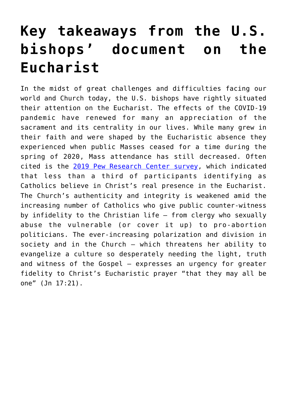# **[Key takeaways from the U.S.](https://www.osvnews.com/2022/01/18/key-takeaways-from-the-u-s-bishops-document-on-the-eucharist/) [bishops' document on the](https://www.osvnews.com/2022/01/18/key-takeaways-from-the-u-s-bishops-document-on-the-eucharist/) [Eucharist](https://www.osvnews.com/2022/01/18/key-takeaways-from-the-u-s-bishops-document-on-the-eucharist/)**

In the midst of great challenges and difficulties facing our world and Church today, the U.S. bishops have rightly situated their attention on the Eucharist. The effects of the COVID-19 pandemic have renewed for many an appreciation of the sacrament and its centrality in our lives. While many grew in their faith and were shaped by the Eucharistic absence they experienced when public Masses ceased for a time during the spring of 2020, Mass attendance has still decreased. Often cited is the [2019 Pew Research Center survey,](https://osvnews.com/2019/08/09/pew-survey-shows-majority-of-catholics-dont-believe-in-real-presence/) which indicated that less than a third of participants identifying as Catholics believe in Christ's real presence in the Eucharist. The Church's authenticity and integrity is weakened amid the increasing number of Catholics who give public counter-witness by infidelity to the Christian life — from clergy who sexually abuse the vulnerable (or cover it up) to pro-abortion politicians. The ever-increasing polarization and division in society and in the Church — which threatens her ability to evangelize a culture so desperately needing the light, truth and witness of the Gospel — expresses an urgency for greater fidelity to Christ's Eucharistic prayer "that they may all be one" (Jn 17:21).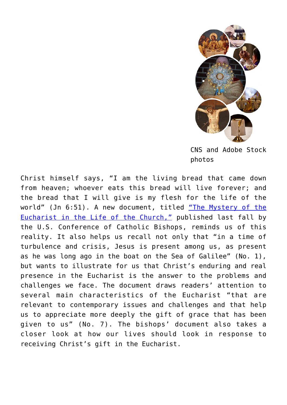

CNS and Adobe Stock photos

Christ himself says, "I am the living bread that came down from heaven; whoever eats this bread will live forever; and the bread that I will give is my flesh for the life of the world" (Jn 6:51). A new document, titled ["The Mystery of the](https://www.usccb.org/resources/The%20Mystery%20of%20the%20Eucharist%20in%20the%20Life%20of%20the%20Church.pdf) [Eucharist in the Life of the Church,"](https://www.usccb.org/resources/The%20Mystery%20of%20the%20Eucharist%20in%20the%20Life%20of%20the%20Church.pdf) published last fall by the U.S. Conference of Catholic Bishops, reminds us of this reality. It also helps us recall not only that "in a time of turbulence and crisis, Jesus is present among us, as present as he was long ago in the boat on the Sea of Galilee" (No. 1), but wants to illustrate for us that Christ's enduring and real presence in the Eucharist is the answer to the problems and challenges we face. The document draws readers' attention to several main characteristics of the Eucharist "that are relevant to contemporary issues and challenges and that help us to appreciate more deeply the gift of grace that has been given to us" (No. 7). The bishops' document also takes a closer look at how our lives should look in response to receiving Christ's gift in the Eucharist.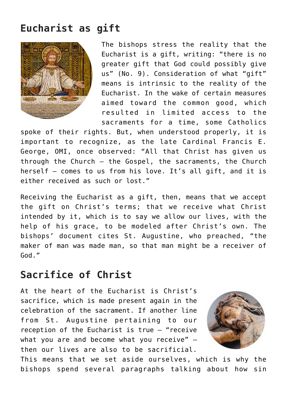# **Eucharist as gift**



The bishops stress the reality that the Eucharist is a gift, writing: "there is no greater gift that God could possibly give us" (No. 9). Consideration of what "gift" means is intrinsic to the reality of the Eucharist. In the wake of certain measures aimed toward the common good, which resulted in limited access to the sacraments for a time, some Catholics

spoke of their rights. But, when understood properly, it is important to recognize, as the late Cardinal Francis E. George, OMI, once observed: "All that Christ has given us through the Church — the Gospel, the sacraments, the Church herself — comes to us from his love. It's all gift, and it is either received as such or lost."

Receiving the Eucharist as a gift, then, means that we accept the gift on Christ's terms; that we receive what Christ intended by it, which is to say we allow our lives, with the help of his grace, to be modeled after Christ's own. The bishops' document cites St. Augustine, who preached, "the maker of man was made man, so that man might be a receiver of God."

## **Sacrifice of Christ**

At the heart of the Eucharist is Christ's sacrifice, which is made present again in the celebration of the sacrament. If another line from St. Augustine pertaining to our reception of the Eucharist is true — "receive what you are and become what you receive" then our lives are also to be sacrificial.



This means that we set aside ourselves, which is why the bishops spend several paragraphs talking about how sin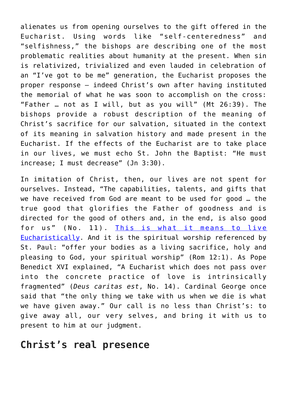alienates us from opening ourselves to the gift offered in the Eucharist. Using words like "self-centeredness" and "selfishness," the bishops are describing one of the most problematic realities about humanity at the present. When sin is relativized, trivialized and even lauded in celebration of an "I've got to be me" generation, the Eucharist proposes the proper response — indeed Christ's own after having instituted the memorial of what he was soon to accomplish on the cross: "Father … not as I will, but as you will" (Mt 26:39). The bishops provide a robust description of the meaning of Christ's sacrifice for our salvation, situated in the context of its meaning in salvation history and made present in the Eucharist. If the effects of the Eucharist are to take place in our lives, we must echo St. John the Baptist: "He must increase; I must decrease" (Jn 3:30).

In imitation of Christ, then, our lives are not spent for ourselves. Instead, "The capabilities, talents, and gifts that we have received from God are meant to be used for good … the true good that glorifies the Father of goodness and is directed for the good of others and, in the end, is also good for us" (No. 11). [This is what it means to live](https://osvnews.com/2021/10/28/letters-to-a-young-catholic-how-to-be-eucharistic-part-1/) [Eucharistically.](https://osvnews.com/2021/10/28/letters-to-a-young-catholic-how-to-be-eucharistic-part-1/) And it is the spiritual worship referenced by St. Paul: "offer your bodies as a living sacrifice, holy and pleasing to God, your spiritual worship" (Rom 12:1). As Pope Benedict XVI explained, "A Eucharist which does not pass over into the concrete practice of love is intrinsically fragmented" (*Deus caritas est*, No. 14). Cardinal George once said that "the only thing we take with us when we die is what we have given away." Our call is no less than Christ's: to give away all, our very selves, and bring it with us to present to him at our judgment.

#### **Christ's real presence**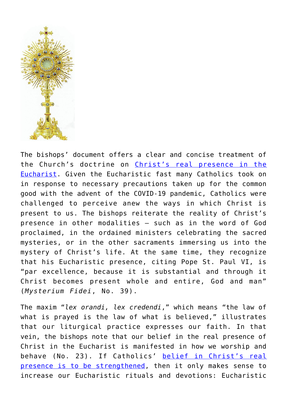

The bishops' document offers a clear and concise treatment of the Church's doctrine on [Christ's real presence in the](https://osvnews.com/2021/09/10/do-you-doubt-the-real-presence-learn-about-these-eucharistic-miracles/) [Eucharist](https://osvnews.com/2021/09/10/do-you-doubt-the-real-presence-learn-about-these-eucharistic-miracles/). Given the Eucharistic fast many Catholics took on in response to necessary precautions taken up for the common good with the advent of the COVID-19 pandemic, Catholics were challenged to perceive anew the ways in which Christ is present to us. The bishops reiterate the reality of Christ's presence in other modalities — such as in the word of God proclaimed, in the ordained ministers celebrating the sacred mysteries, or in the other sacraments immersing us into the mystery of Christ's life. At the same time, they recognize that his Eucharistic presence, citing Pope St. Paul VI, is "par excellence, because it is substantial and through it Christ becomes present whole and entire, God and man" (*Mysterium Fidei*, No. 39).

The maxim "*lex orandi, lex credendi*," which means "the law of what is prayed is the law of what is believed," illustrates that our liturgical practice expresses our faith. In that vein, the bishops note that our belief in the real presence of Christ in the Eucharist is manifested in how we worship and behave (No. 23). If Catholics' [belief in Christ's real](https://osvnews.com/2021/04/12/bishop-olmsted-explains-why-the-real-presence-needs-to-be-the-foundation-of-faith-for-catholics/) [presence is to be strengthened](https://osvnews.com/2021/04/12/bishop-olmsted-explains-why-the-real-presence-needs-to-be-the-foundation-of-faith-for-catholics/), then it only makes sense to increase our Eucharistic rituals and devotions: Eucharistic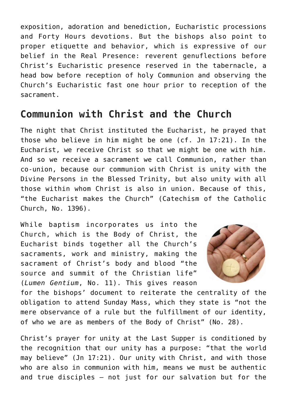exposition, adoration and benediction, Eucharistic processions and Forty Hours devotions. But the bishops also point to proper etiquette and behavior, which is expressive of our belief in the Real Presence: reverent genuflections before Christ's Eucharistic presence reserved in the tabernacle, a head bow before reception of holy Communion and observing the Church's Eucharistic fast one hour prior to reception of the sacrament.

#### **Communion with Christ and the Church**

The night that Christ instituted the Eucharist, he prayed that those who believe in him might be one (cf. Jn 17:21). In the Eucharist, we receive Christ so that we might be one with him. And so we receive a sacrament we call Communion, rather than co-union, because our communion with Christ is unity with the Divine Persons in the Blessed Trinity, but also unity with all those within whom Christ is also in union. Because of this, "the Eucharist makes the Church" (Catechism of the Catholic Church, No. 1396).

While baptism incorporates us into the Church, which is the Body of Christ, the Eucharist binds together all the Church's sacraments, work and ministry, making the sacrament of Christ's body and blood "the source and summit of the Christian life" (*Lumen Gentium*, No. 11). This gives reason



for the bishops' document to reiterate the centrality of the obligation to attend Sunday Mass, which they state is "not the mere observance of a rule but the fulfillment of our identity, of who we are as members of the Body of Christ" (No. 28).

Christ's prayer for unity at the Last Supper is conditioned by the recognition that our unity has a purpose: "that the world may believe" (Jn 17:21). Our unity with Christ, and with those who are also in communion with him, means we must be authentic and true disciples — not just for our salvation but for the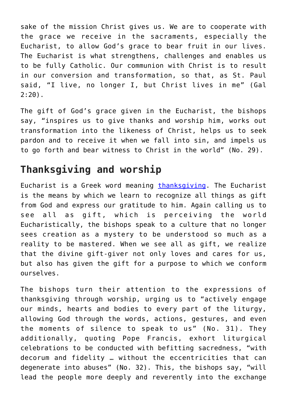sake of the mission Christ gives us. We are to cooperate with the grace we receive in the sacraments, especially the Eucharist, to allow God's grace to bear fruit in our lives. The Eucharist is what strengthens, challenges and enables us to be fully Catholic. Our communion with Christ is to result in our conversion and transformation, so that, as St. Paul said, "I live, no longer I, but Christ lives in me" (Gal 2:20).

The gift of God's grace given in the Eucharist, the bishops say, "inspires us to give thanks and worship him, works out transformation into the likeness of Christ, helps us to seek pardon and to receive it when we fall into sin, and impels us to go forth and bear witness to Christ in the world" (No. 29).

# **Thanksgiving and worship**

Eucharist is a Greek word meaning [thanksgiving](https://osvnews.com/2019/11/20/the-real-presence-of-christ-in-the-eucharist-a-cause-for-thanksgiving/). The Eucharist is the means by which we learn to recognize all things as gift from God and express our gratitude to him. Again calling us to see all as gift, which is perceiving the world Eucharistically, the bishops speak to a culture that no longer sees creation as a mystery to be understood so much as a reality to be mastered. When we see all as gift, we realize that the divine gift-giver not only loves and cares for us, but also has given the gift for a purpose to which we conform ourselves.

The bishops turn their attention to the expressions of thanksgiving through worship, urging us to "actively engage our minds, hearts and bodies to every part of the liturgy, allowing God through the words, actions, gestures, and even the moments of silence to speak to us" (No. 31). They additionally, quoting Pope Francis, exhort liturgical celebrations to be conducted with befitting sacredness, "with decorum and fidelity … without the eccentricities that can degenerate into abuses" (No. 32). This, the bishops say, "will lead the people more deeply and reverently into the exchange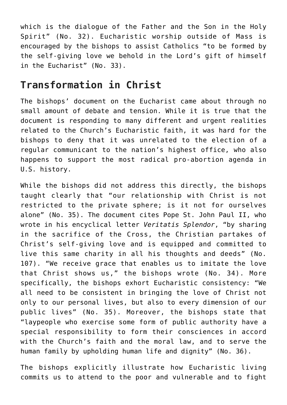which is the dialogue of the Father and the Son in the Holy Spirit" (No. 32). Eucharistic worship outside of Mass is encouraged by the bishops to assist Catholics "to be formed by the self-giving love we behold in the Lord's gift of himself in the Eucharist" (No. 33).

# **Transformation in Christ**

The bishops' document on the Eucharist came about through no small amount of debate and tension. While it is true that the document is responding to many different and urgent realities related to the Church's Eucharistic faith, it was hard for the bishops to deny that it was unrelated to the election of a regular communicant to the nation's highest office, who also happens to support the most radical pro-abortion agenda in U.S. history.

While the bishops did not address this directly, the bishops taught clearly that "our relationship with Christ is not restricted to the private sphere; is it not for ourselves alone" (No. 35). The document cites Pope St. John Paul II, who wrote in his encyclical letter *Veritatis Splendor*, "by sharing in the sacrifice of the Cross, the Christian partakes of Christ's self-giving love and is equipped and committed to live this same charity in all his thoughts and deeds" (No. 107). "We receive grace that enables us to imitate the love that Christ shows us," the bishops wrote (No. 34). More specifically, the bishops exhort Eucharistic consistency: "We all need to be consistent in bringing the love of Christ not only to our personal lives, but also to every dimension of our public lives" (No. 35). Moreover, the bishops state that "laypeople who exercise some form of public authority have a special responsibility to form their consciences in accord with the Church's faith and the moral law, and to serve the human family by upholding human life and dignity" (No. 36).

The bishops explicitly illustrate how Eucharistic living commits us to attend to the poor and vulnerable and to fight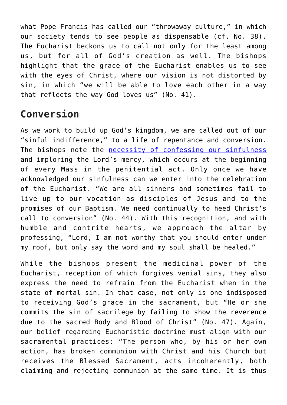what Pope Francis has called our "throwaway culture," in which our society tends to see people as dispensable (cf. No. 38). The Eucharist beckons us to call not only for the least among us, but for all of God's creation as well. The bishops highlight that the grace of the Eucharist enables us to see with the eyes of Christ, where our vision is not distorted by sin, in which "we will be able to love each other in a way that reflects the way God loves us" (No. 41).

## **Conversion**

As we work to build up God's kingdom, we are called out of our "sinful indifference," to a life of repentance and conversion. The bishops note the [necessity of confessing our sinfulness](https://osvnews.com/2021/11/22/my-daughter-isnt-living-the-faith-but-receives-communion-what-should-i-do/) and imploring the Lord's mercy, which occurs at the beginning of every Mass in the penitential act. Only once we have acknowledged our sinfulness can we enter into the celebration of the Eucharist. "We are all sinners and sometimes fail to live up to our vocation as disciples of Jesus and to the promises of our Baptism. We need continually to heed Christ's call to conversion" (No. 44). With this recognition, and with humble and contrite hearts, we approach the altar by professing, "Lord, I am not worthy that you should enter under my roof, but only say the word and my soul shall be healed."

While the bishops present the medicinal power of the Eucharist, reception of which forgives venial sins, they also express the need to refrain from the Eucharist when in the state of mortal sin. In that case, not only is one indisposed to receiving God's grace in the sacrament, but "He or she commits the sin of sacrilege by failing to show the reverence due to the sacred Body and Blood of Christ" (No. 47). Again, our belief regarding Eucharistic doctrine must align with our sacramental practices: "The person who, by his or her own action, has broken communion with Christ and his Church but receives the Blessed Sacrament, acts incoherently, both claiming and rejecting communion at the same time. It is thus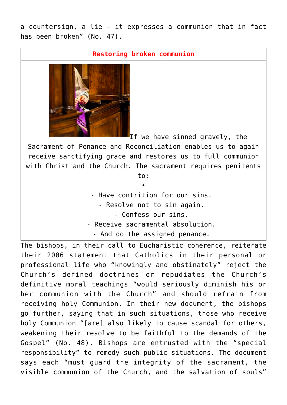a countersign, a lie — it expresses a communion that in fact has been broken" (No. 47).

**Restoring broken communion**



If we have sinned gravely, the

Sacrament of Penance and Reconciliation enables us to again receive sanctifying grace and restores us to full communion with Christ and the Church. The sacrament requires penitents

> to: •

- Have contrition for our sins.
	- Resolve not to sin again.
		- Confess our sins.
- Receive sacramental absolution.
	- And do the assigned penance.

The bishops, in their call to Eucharistic coherence, reiterate their 2006 statement that Catholics in their personal or professional life who "knowingly and obstinately" reject the Church's defined doctrines or repudiates the Church's definitive moral teachings "would seriously diminish his or her communion with the Church" and should refrain from receiving holy Communion. In their new document, the bishops go further, saying that in such situations, those who receive holy Communion "[are] also likely to cause scandal for others, weakening their resolve to be faithful to the demands of the Gospel" (No. 48). Bishops are entrusted with the "special responsibility" to remedy such public situations. The document says each "must guard the integrity of the sacrament, the visible communion of the Church, and the salvation of souls"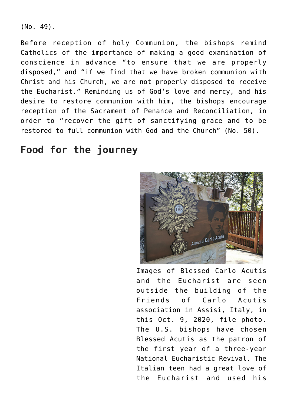(No. 49).

Before reception of holy Communion, the bishops remind Catholics of the importance of making a good examination of conscience in advance "to ensure that we are properly disposed," and "if we find that we have broken communion with Christ and his Church, we are not properly disposed to receive the Eucharist." Reminding us of God's love and mercy, and his desire to restore communion with him, the bishops encourage reception of the Sacrament of Penance and Reconciliation, in order to "recover the gift of sanctifying grace and to be restored to full communion with God and the Church" (No. 50).

# **Food for the journey**



Images of Blessed Carlo Acutis and the Eucharist are seen outside the building of the Friends of Carlo Acutis association in Assisi, Italy, in this Oct. 9, 2020, file photo. The U.S. bishops have chosen Blessed Acutis as the patron of the first year of a three-year National Eucharistic Revival. The Italian teen had a great love of the Eucharist and used his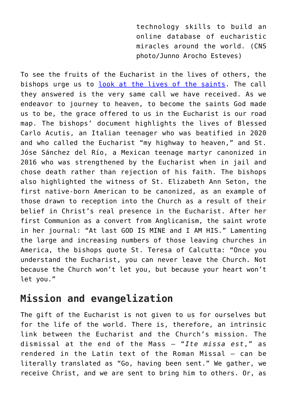technology skills to build an online database of eucharistic miracles around the world. (CNS photo/Junno Arocho Esteves)

To see the fruits of the Eucharist in the lives of others, the bishops urge us to [look at the lives of the saints.](https://osvnews.com/2019/08/01/how-three-female-saints-promoted-devotion-to-the-eucharist-jesus-heart-and-his-mercy/) The call they answered is the very same call we have received. As we endeavor to journey to heaven, to become the saints God made us to be, the grace offered to us in the Eucharist is our road map. The bishops' document highlights the lives of Blessed Carlo Acutis, an Italian teenager who was beatified in 2020 and who called the Eucharist "my highway to heaven," and St. Jóse Sánchez del Río, a Mexican teenage martyr canonized in 2016 who was strengthened by the Eucharist when in jail and chose death rather than rejection of his faith. The bishops also highlighted the witness of St. Elizabeth Ann Seton, the first native-born American to be canonized, as an example of those drawn to reception into the Church as a result of their belief in Christ's real presence in the Eucharist. After her first Communion as a convert from Anglicanism, the saint wrote in her journal: "At last GOD IS MINE and I AM HIS." Lamenting the large and increasing numbers of those leaving churches in America, the bishops quote St. Teresa of Calcutta: "Once you understand the Eucharist, you can never leave the Church. Not because the Church won't let you, but because your heart won't let you."

## **Mission and evangelization**

The gift of the Eucharist is not given to us for ourselves but for the life of the world. There is, therefore, an intrinsic link between the Eucharist and the Church's mission. The dismissal at the end of the Mass — "*Ite missa est*," as rendered in the Latin text of the Roman Missal — can be literally translated as "Go, having been sent." We gather, we receive Christ, and we are sent to bring him to others. Or, as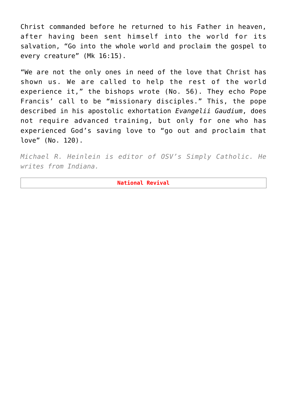Christ commanded before he returned to his Father in heaven, after having been sent himself into the world for its salvation, "Go into the whole world and proclaim the gospel to every creature" (Mk 16:15).

"We are not the only ones in need of the love that Christ has shown us. We are called to help the rest of the world experience it," the bishops wrote (No. 56). They echo Pope Francis' call to be "missionary disciples." This, the pope described in his apostolic exhortation *Evangelii Gaudium*, does not require advanced training, but only for one who has experienced God's saving love to "go out and proclaim that love" (No. 120).

*Michael R. Heinlein is editor of OSV's Simply Catholic. He writes from Indiana.*

**National Revival**